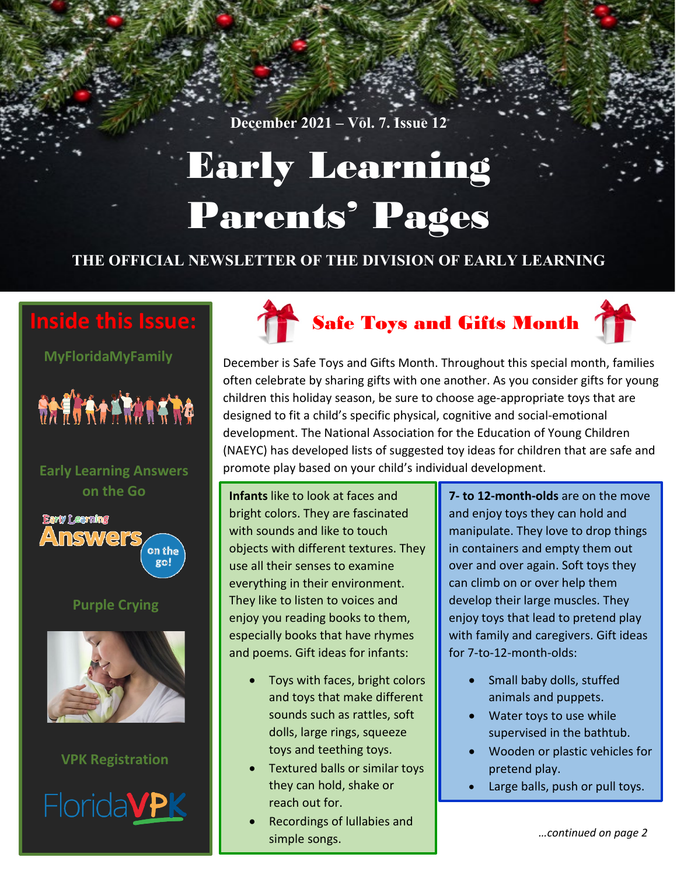# Early Learning Parents' Pages

#### **THE OFFICIAL NEWSLETTER OF THE DIVISION OF EARLY LEARNING**

# **Inside this Issue:**

**MyFloridaMyFamily**



#### **Early Learning Answers on the Go**



#### **Purple Crying**



#### **VPK Registration**







December is Safe Toys and Gifts Month. Throughout this special month, families often celebrate by sharing gifts with one another. As you consider gifts for young children this holiday season, be sure to choose age-appropriate toys that are designed to fit a child's specific physical, cognitive and social-emotional development. The National Association for the Education of Young Children (NAEYC) has developed lists of suggested toy ideas for children that are safe and promote play based on your child's individual development.

**Infants** like to look at faces and bright colors. They are fascinated with sounds and like to touch objects with different textures. They use all their senses to examine everything in their environment. They like to listen to voices and enjoy you reading books to them, especially books that have rhymes and poems. Gift ideas for infants:

- Toys with faces, bright colors and toys that make different sounds such as rattles, soft dolls, large rings, squeeze toys and teething toys.
- Textured balls or similar toys they can hold, shake or reach out for.
- Recordings of lullabies and simple songs.

**7- to 12-month-olds** are on the move and enjoy toys they can hold and manipulate. They love to drop things in containers and empty them out over and over again. Soft toys they can climb on or over help them develop their large muscles. They enjoy toys that lead to pretend play with family and caregivers. Gift ideas for 7-to-12-month-olds:

- Small baby dolls, stuffed animals and puppets.
- Water toys to use while supervised in the bathtub.
- Wooden or plastic vehicles for pretend play.
- Large balls, push or pull toys.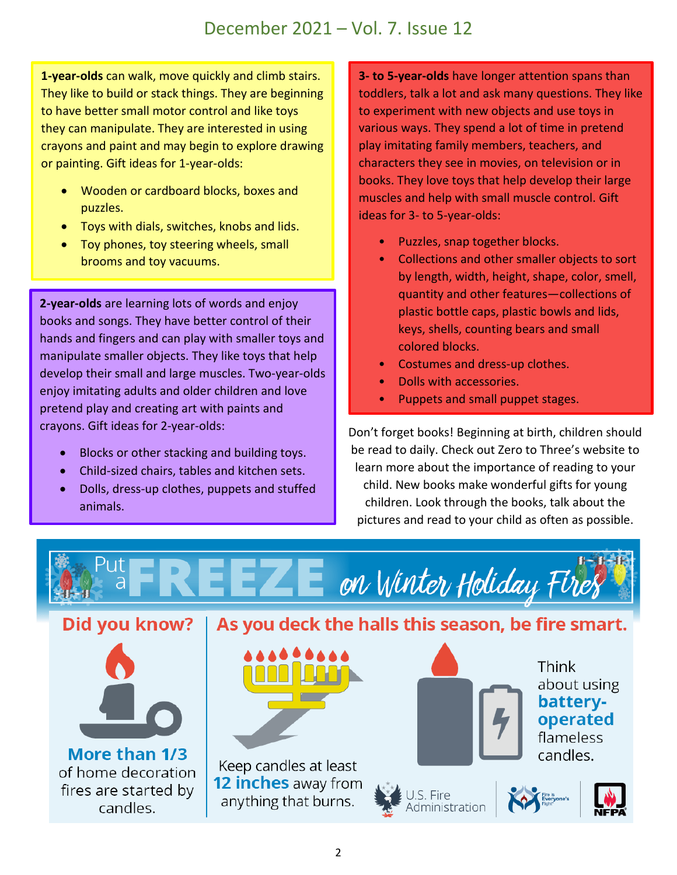**1-year-olds** can walk, move quickly and climb stairs. They like to build or stack things. They are beginning to have better small motor control and like toys they can manipulate. They are interested in using crayons and paint and may begin to explore drawing or painting. Gift ideas for 1-year-olds:

- Wooden or cardboard blocks, boxes and puzzles.
- Toys with dials, switches, knobs and lids.
- Toy phones, toy steering wheels, small brooms and toy vacuums.

**2-year-olds** are learning lots of words and enjoy books and songs. They have better control of their hands and fingers and can play with smaller toys and manipulate smaller objects. They like toys that help develop their small and large muscles. Two-year-olds enjoy imitating adults and older children and love pretend play and creating art with paints and crayons. Gift ideas for 2-year-olds:

- Blocks or other stacking and building toys.
- Child-sized chairs, tables and kitchen sets.
- Dolls, dress-up clothes, puppets and stuffed animals.

**3- to 5-year-olds** have longer attention spans than toddlers, talk a lot and ask many questions. They like to experiment with new objects and use toys in various ways. They spend a lot of time in pretend play imitating family members, teachers, and characters they see in movies, on television or in books. They love toys that help develop their large muscles and help with small muscle control. Gift ideas for 3- to 5-year-olds:

- Puzzles, snap together blocks.
- Collections and other smaller objects to sort by length, width, height, shape, color, smell, quantity and other features—collections of plastic bottle caps, plastic bowls and lids, keys, shells, counting bears and small colored blocks.
- Costumes and dress-up clothes.
- Dolls with accessories.
- Puppets and small puppet stages.

Don't forget books! Beginning at birth, children should be read to daily. Check out Zero to Three's website to learn more about the importance of reading to your child. New books make wonderful gifts for young children. Look through the books, talk about the pictures and read to your child as often as possible.

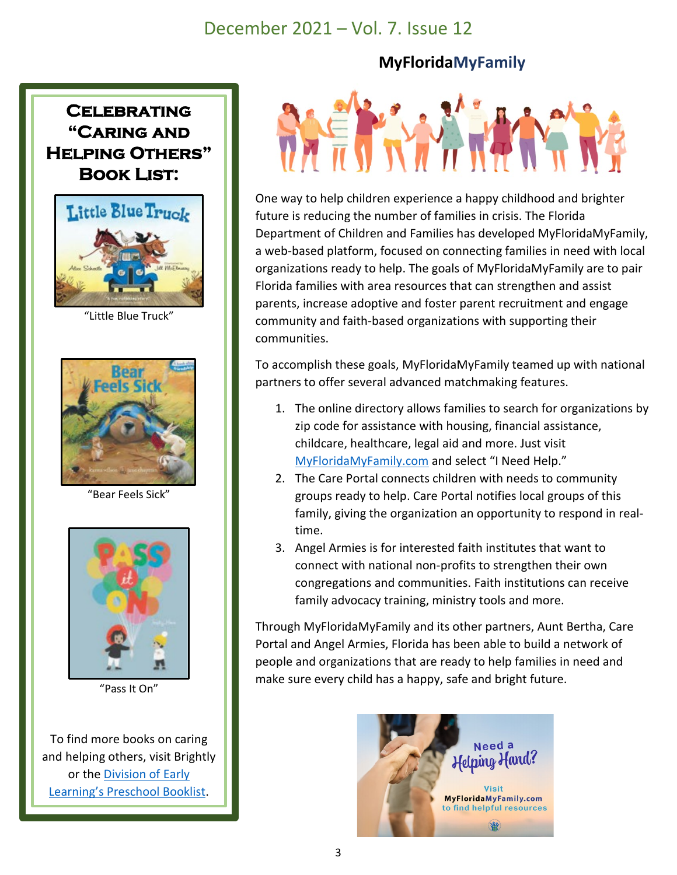#### **MyFloridaMyFamily**





"Little Blue Truck"



"Bear Feels Sick"



"Pass It On"

To find more books on caring and helping others, visit Brightly or the [Division of Early](http://flbt5.floridaearlylearning.com/docs/Preschool%20Booklist-%20ADA-DEL.pdf)  [Learning's Preschool Booklist.](http://flbt5.floridaearlylearning.com/docs/Preschool%20Booklist-%20ADA-DEL.pdf)



One way to help children experience a happy childhood and brighter future is reducing the number of families in crisis. The Florida Department of Children and Families has developed MyFloridaMyFamily, a web-based platform, focused on connecting families in need with local organizations ready to help. The goals of MyFloridaMyFamily are to pair Florida families with area resources that can strengthen and assist parents, increase adoptive and foster parent recruitment and engage community and faith-based organizations with supporting their communities.

To accomplish these goals, MyFloridaMyFamily teamed up with national partners to offer several advanced matchmaking features.

- 1. The online directory allows families to search for organizations by zip code for assistance with housing, financial assistance, childcare, healthcare, legal aid and more. Just visit [MyFloridaMyFamily.com](https://www.myfloridamyfamily.com/) and select "I Need Help."
- 2. The Care Portal connects children with needs to community groups ready to help. Care Portal notifies local groups of this family, giving the organization an opportunity to respond in realtime.
- 3. Angel Armies is for interested faith institutes that want to connect with national non-profits to strengthen their own congregations and communities. Faith institutions can receive family advocacy training, ministry tools and more.

Through MyFloridaMyFamily and its other partners, Aunt Bertha, Care Portal and Angel Armies, Florida has been able to build a network of people and organizations that are ready to help families in need and make sure every child has a happy, safe and bright future.

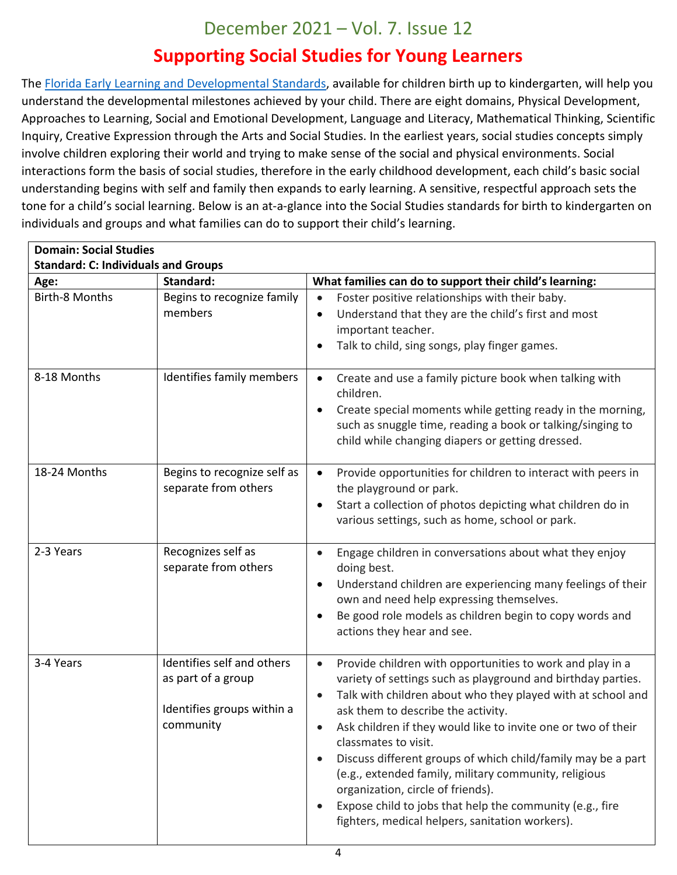## **Supporting Social Studies for Young Learners**

The [Florida Early Learning and Developmental Standards,](http://flbt5.floridaearlylearning.com/) available for children birth up to kindergarten, will help you understand the developmental milestones achieved by your child. There are eight domains, Physical Development, Approaches to Learning, Social and Emotional Development, Language and Literacy, Mathematical Thinking, Scientific Inquiry, Creative Expression through the Arts and Social Studies. In the earliest years, social studies concepts simply involve children exploring their world and trying to make sense of the social and physical environments. Social interactions form the basis of social studies, therefore in the early childhood development, each child's basic social understanding begins with self and family then expands to early learning. A sensitive, respectful approach sets the tone for a child's social learning. Below is an at-a-glance into the Social Studies standards for birth to kindergarten on individuals and groups and what families can do to support their child's learning.

| <b>Domain: Social Studies</b><br><b>Standard: C: Individuals and Groups</b> |                                                                                             |                                                                                                                                                                                                                                                                                                                                                                                                                                                                                                                                                                                                                                             |
|-----------------------------------------------------------------------------|---------------------------------------------------------------------------------------------|---------------------------------------------------------------------------------------------------------------------------------------------------------------------------------------------------------------------------------------------------------------------------------------------------------------------------------------------------------------------------------------------------------------------------------------------------------------------------------------------------------------------------------------------------------------------------------------------------------------------------------------------|
| Age:                                                                        | Standard:                                                                                   | What families can do to support their child's learning:                                                                                                                                                                                                                                                                                                                                                                                                                                                                                                                                                                                     |
| <b>Birth-8 Months</b>                                                       | Begins to recognize family<br>members                                                       | Foster positive relationships with their baby.<br>$\bullet$<br>Understand that they are the child's first and most<br>important teacher.<br>Talk to child, sing songs, play finger games.                                                                                                                                                                                                                                                                                                                                                                                                                                                   |
| 8-18 Months                                                                 | Identifies family members                                                                   | Create and use a family picture book when talking with<br>$\bullet$<br>children.<br>Create special moments while getting ready in the morning,<br>$\bullet$<br>such as snuggle time, reading a book or talking/singing to<br>child while changing diapers or getting dressed.                                                                                                                                                                                                                                                                                                                                                               |
| 18-24 Months                                                                | Begins to recognize self as<br>separate from others                                         | Provide opportunities for children to interact with peers in<br>$\bullet$<br>the playground or park.<br>Start a collection of photos depicting what children do in<br>$\bullet$<br>various settings, such as home, school or park.                                                                                                                                                                                                                                                                                                                                                                                                          |
| 2-3 Years                                                                   | Recognizes self as<br>separate from others                                                  | Engage children in conversations about what they enjoy<br>doing best.<br>Understand children are experiencing many feelings of their<br>$\bullet$<br>own and need help expressing themselves.<br>Be good role models as children begin to copy words and<br>$\bullet$<br>actions they hear and see.                                                                                                                                                                                                                                                                                                                                         |
| 3-4 Years                                                                   | Identifies self and others<br>as part of a group<br>Identifies groups within a<br>community | Provide children with opportunities to work and play in a<br>$\bullet$<br>variety of settings such as playground and birthday parties.<br>Talk with children about who they played with at school and<br>$\bullet$<br>ask them to describe the activity.<br>Ask children if they would like to invite one or two of their<br>$\bullet$<br>classmates to visit.<br>Discuss different groups of which child/family may be a part<br>(e.g., extended family, military community, religious<br>organization, circle of friends).<br>Expose child to jobs that help the community (e.g., fire<br>fighters, medical helpers, sanitation workers). |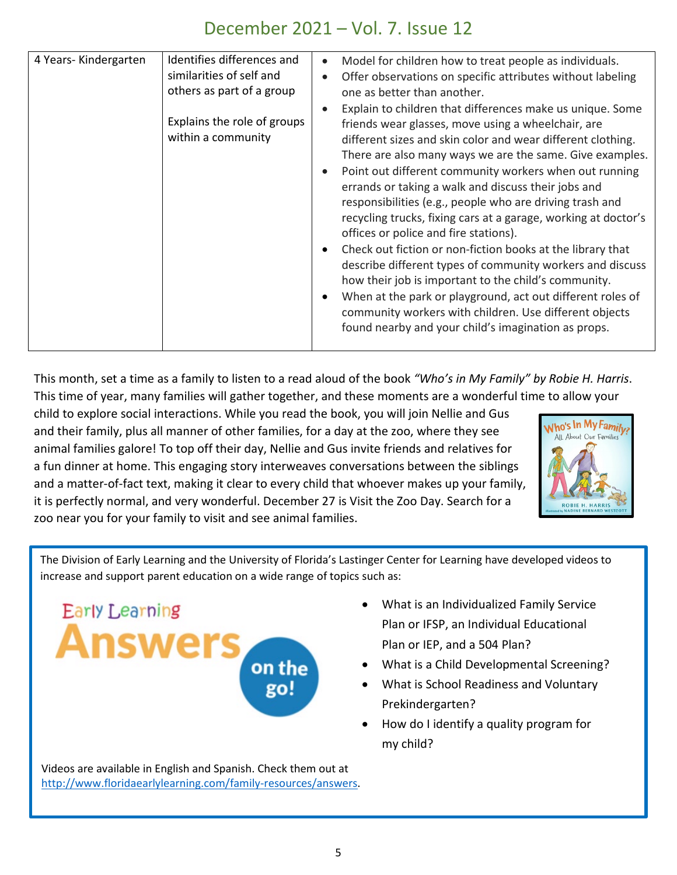This month, set a time as a family to listen to a read aloud of the book *"Who's in My Family" by Robie H. Harris*. This time of year, many families will gather together, and these moments are a wonderful time to allow your

child to explore social interactions. While you read the book, you will join Nellie and Gus and their family, plus all manner of other families, for a day at the zoo, where they see animal families galore! To top off their day, Nellie and Gus invite friends and relatives for a fun dinner at home. This engaging story interweaves conversations between the siblings and a matter-of-fact text, making it clear to every child that whoever makes up your family, it is perfectly normal, and very wonderful. December 27 is Visit the Zoo Day. Search for a zoo near you for your family to visit and see animal families.



The Division of Early Learning and the University of Florida's Lastinger Center for Learning have developed videos to increase and support parent education on a wide range of topics such as:



Videos are available in English and Spanish. Check them out at [http://www.floridaearlylearning.com/family-resources/answers.](http://www.floridaearlylearning.com/family-resources/answers)

- What is an Individualized Family Service Plan or IFSP, an Individual Educational Plan or IEP, and a 504 Plan?
- What is a Child Developmental Screening?
- What is School Readiness and Voluntary Prekindergarten?
- How do I identify a quality program for my child?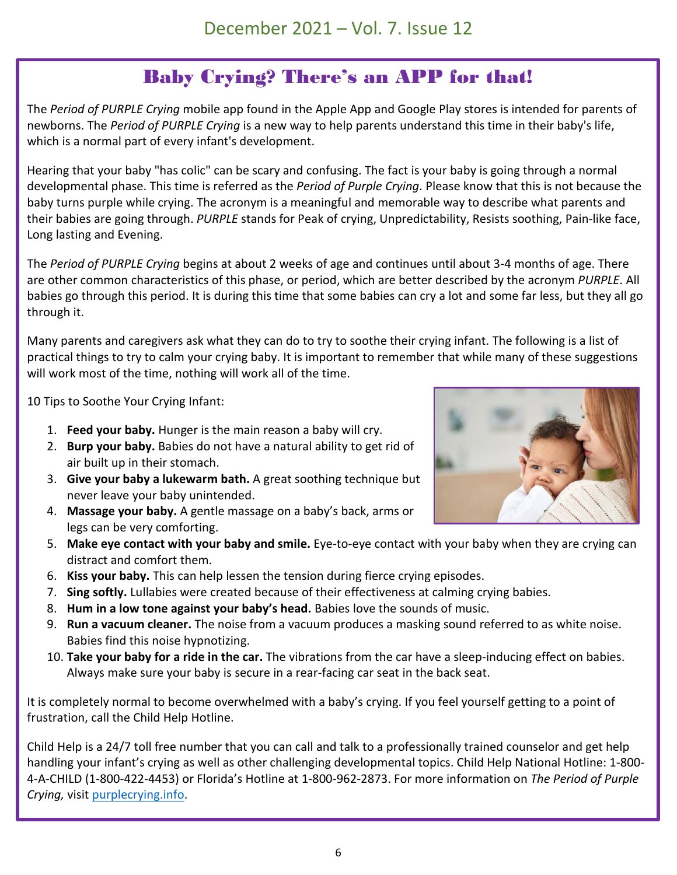# Baby Crying? There's an APP for that!

The *Period of PURPLE Crying* mobile app found in the Apple App and Google Play stores is intended for parents of newborns. The *Period of PURPLE Crying* is a new way to help parents understand this time in their baby's life, which is a normal part of every infant's development.

Hearing that your baby "has colic" can be scary and confusing. The fact is your baby is going through a normal developmental phase. This time is referred as the *Period of Purple Crying*. Please know that this is not because the baby turns purple while crying. The acronym is a meaningful and memorable way to describe what parents and their babies are going through. *PURPLE* stands for Peak of crying, Unpredictability, Resists soothing, Pain-like face, Long lasting and Evening.

The *Period of PURPLE Crying* begins at about 2 weeks of age and continues until about 3-4 months of age. There are other common characteristics of this phase, or period, which are better described by the acronym *PURPLE*. All babies go through this period. It is during this time that some babies can cry a lot and some far less, but they all go through it.

Many parents and caregivers ask what they can do to try to soothe their crying infant. The following is a list of practical things to try to calm your crying baby. It is important to remember that while many of these suggestions will work most of the time, nothing will work all of the time.

10 Tips to Soothe Your Crying Infant:

- 1. **Feed your baby.** Hunger is the main reason a baby will cry.
- 2. **Burp your baby.** Babies do not have a natural ability to get rid of air built up in their stomach.
- 3. **Give your baby a lukewarm bath.** A great soothing technique but never leave your baby unintended.
- 4. **Massage your baby.** A gentle massage on a baby's back, arms or legs can be very comforting.
- 5. **Make eye contact with your baby and smile.** Eye-to-eye contact with your baby when they are crying can distract and comfort them.
- 6. **Kiss your baby.** This can help lessen the tension during fierce crying episodes.
- 7. **Sing softly.** Lullabies were created because of their effectiveness at calming crying babies.
- 8. **Hum in a low tone against your baby's head.** Babies love the sounds of music.
- 9. **Run a vacuum cleaner.** The noise from a vacuum produces a masking sound referred to as white noise. Babies find this noise hypnotizing.
- 10. **Take your baby for a ride in the car.** The vibrations from the car have a sleep-inducing effect on babies. Always make sure your baby is secure in a rear-facing car seat in the back seat.

It is completely normal to become overwhelmed with a baby's crying. If you feel yourself getting to a point of frustration, call the Child Help Hotline.

Child Help is a 24/7 toll free number that you can call and talk to a professionally trained counselor and get help handling your infant's crying as well as other challenging developmental topics. Child Help National Hotline: 1-800- 4-A-CHILD (1-800-422-4453) or Florida's Hotline at 1-800-962-2873. For more information on *The Period of Purple Crying,* visit [purplecrying.info.](http://purplecrying.info/)